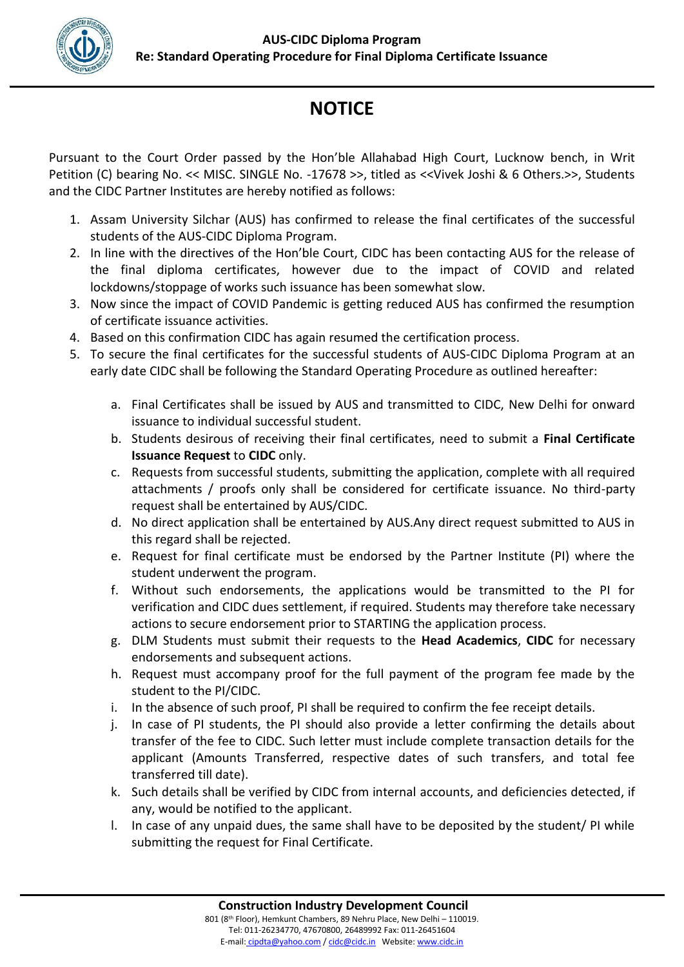

## **NOTICE**

Pursuant to the Court Order passed by the Hon'ble Allahabad High Court, Lucknow bench, in Writ Petition (C) bearing No. << MISC. SINGLE No. -17678 >>, titled as <<Vivek Joshi & 6 Others.>>, Students and the CIDC Partner Institutes are hereby notified as follows:

- 1. Assam University Silchar (AUS) has confirmed to release the final certificates of the successful students of the AUS-CIDC Diploma Program.
- 2. In line with the directives of the Hon'ble Court, CIDC has been contacting AUS for the release of the final diploma certificates, however due to the impact of COVID and related lockdowns/stoppage of works such issuance has been somewhat slow.
- 3. Now since the impact of COVID Pandemic is getting reduced AUS has confirmed the resumption of certificate issuance activities.
- 4. Based on this confirmation CIDC has again resumed the certification process.
- 5. To secure the final certificates for the successful students of AUS-CIDC Diploma Program at an early date CIDC shall be following the Standard Operating Procedure as outlined hereafter:
	- a. Final Certificates shall be issued by AUS and transmitted to CIDC, New Delhi for onward issuance to individual successful student.
	- b. Students desirous of receiving their final certificates, need to submit a **Final Certificate Issuance Request** to **CIDC** only.
	- c. Requests from successful students, submitting the application, complete with all required attachments / proofs only shall be considered for certificate issuance. No third-party request shall be entertained by AUS/CIDC.
	- d. No direct application shall be entertained by AUS.Any direct request submitted to AUS in this regard shall be rejected.
	- e. Request for final certificate must be endorsed by the Partner Institute (PI) where the student underwent the program.
	- f. Without such endorsements, the applications would be transmitted to the PI for verification and CIDC dues settlement, if required. Students may therefore take necessary actions to secure endorsement prior to STARTING the application process.
	- g. DLM Students must submit their requests to the **Head Academics**, **CIDC** for necessary endorsements and subsequent actions.
	- h. Request must accompany proof for the full payment of the program fee made by the student to the PI/CIDC.
	- i. In the absence of such proof, PI shall be required to confirm the fee receipt details.
	- j. In case of PI students, the PI should also provide a letter confirming the details about transfer of the fee to CIDC. Such letter must include complete transaction details for the applicant (Amounts Transferred, respective dates of such transfers, and total fee transferred till date).
	- k. Such details shall be verified by CIDC from internal accounts, and deficiencies detected, if any, would be notified to the applicant.
	- l. In case of any unpaid dues, the same shall have to be deposited by the student/ PI while submitting the request for Final Certificate.